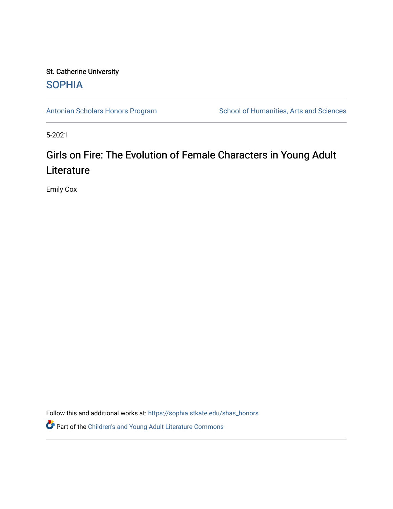## St. Catherine University **SOPHIA**

[Antonian Scholars Honors Program](https://sophia.stkate.edu/shas_honors) School of Humanities, Arts and Sciences

5-2021

# Girls on Fire: The Evolution of Female Characters in Young Adult **Literature**

Emily Cox

Follow this and additional works at: [https://sophia.stkate.edu/shas\\_honors](https://sophia.stkate.edu/shas_honors?utm_source=sophia.stkate.edu%2Fshas_honors%2F62&utm_medium=PDF&utm_campaign=PDFCoverPages)

**P** Part of the Children's and Young Adult Literature Commons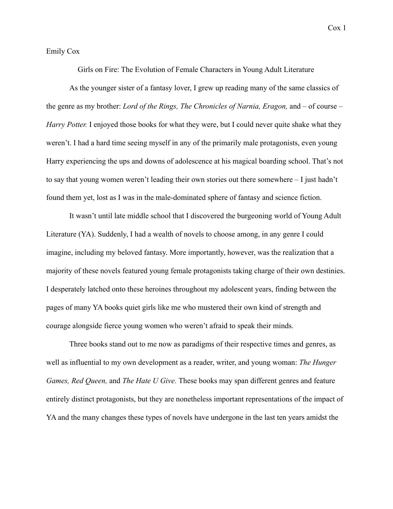#### Emily Cox

Girls on Fire: The Evolution of Female Characters in Young Adult Literature

As the younger sister of a fantasy lover, I grew up reading many of the same classics of the genre as my brother: *Lord of the Rings, The Chronicles of Narnia, Eragon,* and – of course – *Harry Potter.* I enjoyed those books for what they were, but I could never quite shake what they weren't. I had a hard time seeing myself in any of the primarily male protagonists, even young Harry experiencing the ups and downs of adolescence at his magical boarding school. That's not to say that young women weren't leading their own stories out there somewhere – I just hadn't found them yet, lost as I was in the male-dominated sphere of fantasy and science fiction.

It wasn't until late middle school that I discovered the burgeoning world of Young Adult Literature (YA). Suddenly, I had a wealth of novels to choose among, in any genre I could imagine, including my beloved fantasy. More importantly, however, was the realization that a majority of these novels featured young female protagonists taking charge of their own destinies. I desperately latched onto these heroines throughout my adolescent years, finding between the pages of many YA books quiet girls like me who mustered their own kind of strength and courage alongside fierce young women who weren't afraid to speak their minds.

Three books stand out to me now as paradigms of their respective times and genres, as well as influential to my own development as a reader, writer, and young woman: *The Hunger Games, Red Queen,* and *The Hate U Give.* These books may span different genres and feature entirely distinct protagonists, but they are nonetheless important representations of the impact of YA and the many changes these types of novels have undergone in the last ten years amidst the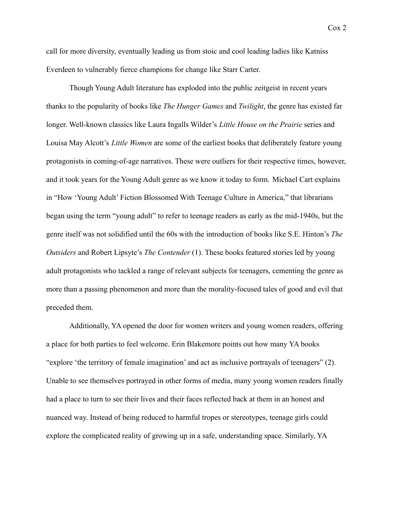call for more diversity, eventually leading us from stoic and cool leading ladies like Katniss Everdeen to vulnerably fierce champions for change like Starr Carter.

Though Young Adult literature has exploded into the public zeitgeist in recent years thanks to the popularity of books like *The Hunger Games* and *Twilight*, the genre has existed far longer. Well-known classics like Laura Ingalls Wilder's *Little House on the Prairie* series and Louisa May Alcott's *Little Women* are some of the earliest books that deliberately feature young protagonists in coming-of-age narratives. These were outliers for their respective times, however, and it took years for the Young Adult genre as we know it today to form. Michael Cart explains in "How 'Young Adult' Fiction Blossomed With Teenage Culture in America," that librarians began using the term "young adult" to refer to teenage readers as early as the mid-1940s, but the genre itself was not solidified until the 60s with the introduction of books like S.E. Hinton's *The Outsiders* and Robert Lipsyte's *The Contender* (1). These books featured stories led by young adult protagonists who tackled a range of relevant subjects for teenagers, cementing the genre as more than a passing phenomenon and more than the morality-focused tales of good and evil that preceded them.

Additionally, YA opened the door for women writers and young women readers, offering a place for both parties to feel welcome. Erin Blakemore points out how many YA books "explore 'the territory of female imagination' and act as inclusive portrayals of teenagers" (2). Unable to see themselves portrayed in other forms of media, many young women readers finally had a place to turn to see their lives and their faces reflected back at them in an honest and nuanced way. Instead of being reduced to harmful tropes or stereotypes, teenage girls could explore the complicated reality of growing up in a safe, understanding space. Similarly, YA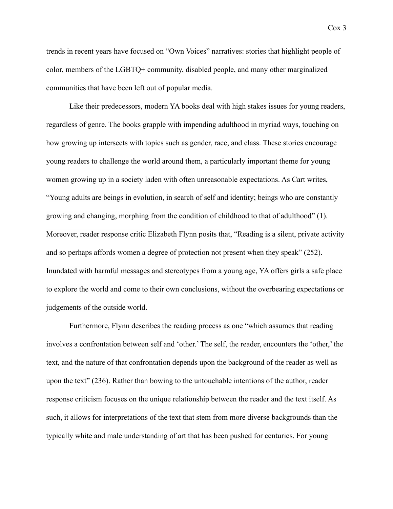trends in recent years have focused on "Own Voices" narratives: stories that highlight people of color, members of the LGBTQ+ community, disabled people, and many other marginalized communities that have been left out of popular media.

Like their predecessors, modern YA books deal with high stakes issues for young readers, regardless of genre. The books grapple with impending adulthood in myriad ways, touching on how growing up intersects with topics such as gender, race, and class. These stories encourage young readers to challenge the world around them, a particularly important theme for young women growing up in a society laden with often unreasonable expectations. As Cart writes, "Young adults are beings in evolution, in search of self and identity; beings who are constantly growing and changing, morphing from the condition of childhood to that of adulthood" (1). Moreover, reader response critic Elizabeth Flynn posits that, "Reading is a silent, private activity and so perhaps affords women a degree of protection not present when they speak" (252). Inundated with harmful messages and stereotypes from a young age, YA offers girls a safe place to explore the world and come to their own conclusions, without the overbearing expectations or judgements of the outside world.

Furthermore, Flynn describes the reading process as one "which assumes that reading involves a confrontation between self and 'other.' The self, the reader, encounters the 'other,' the text, and the nature of that confrontation depends upon the background of the reader as well as upon the text" (236). Rather than bowing to the untouchable intentions of the author, reader response criticism focuses on the unique relationship between the reader and the text itself. As such, it allows for interpretations of the text that stem from more diverse backgrounds than the typically white and male understanding of art that has been pushed for centuries. For young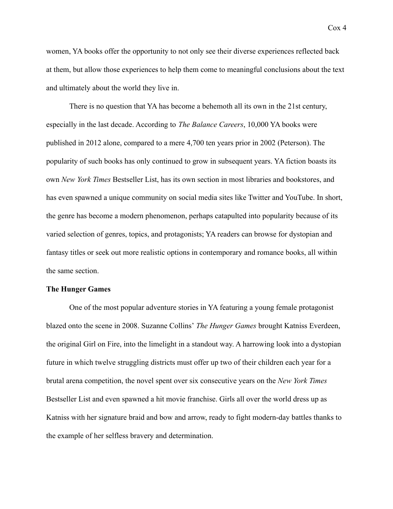women, YA books offer the opportunity to not only see their diverse experiences reflected back at them, but allow those experiences to help them come to meaningful conclusions about the text and ultimately about the world they live in.

There is no question that YA has become a behemoth all its own in the 21st century, especially in the last decade. According to *The Balance Careers*, 10,000 YA books were published in 2012 alone, compared to a mere 4,700 ten years prior in 2002 (Peterson). The popularity of such books has only continued to grow in subsequent years. YA fiction boasts its own *New York Times* Bestseller List, has its own section in most libraries and bookstores, and has even spawned a unique community on social media sites like Twitter and YouTube. In short, the genre has become a modern phenomenon, perhaps catapulted into popularity because of its varied selection of genres, topics, and protagonists; YA readers can browse for dystopian and fantasy titles or seek out more realistic options in contemporary and romance books, all within the same section.

#### **The Hunger Games**

One of the most popular adventure stories in YA featuring a young female protagonist blazed onto the scene in 2008. Suzanne Collins' *The Hunger Games* brought Katniss Everdeen, the original Girl on Fire, into the limelight in a standout way. A harrowing look into a dystopian future in which twelve struggling districts must offer up two of their children each year for a brutal arena competition, the novel spent over six consecutive years on the *New York Times* Bestseller List and even spawned a hit movie franchise. Girls all over the world dress up as Katniss with her signature braid and bow and arrow, ready to fight modern-day battles thanks to the example of her selfless bravery and determination.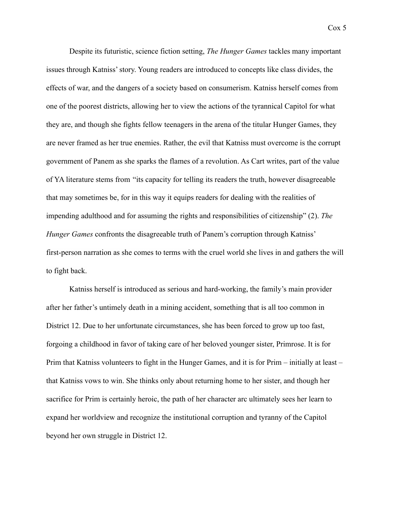Despite its futuristic, science fiction setting, *The Hunger Games* tackles many important issues through Katniss' story. Young readers are introduced to concepts like class divides, the effects of war, and the dangers of a society based on consumerism. Katniss herself comes from one of the poorest districts, allowing her to view the actions of the tyrannical Capitol for what they are, and though she fights fellow teenagers in the arena of the titular Hunger Games, they are never framed as her true enemies. Rather, the evil that Katniss must overcome is the corrupt government of Panem as she sparks the flames of a revolution. As Cart writes, part of the value of YA literature stems from "its capacity for telling its readers the truth, however disagreeable that may sometimes be, for in this way it equips readers for dealing with the realities of impending adulthood and for assuming the rights and responsibilities of citizenship" (2). *The Hunger Games* confronts the disagreeable truth of Panem's corruption through Katniss' first-person narration as she comes to terms with the cruel world she lives in and gathers the will

to fight back.

Katniss herself is introduced as serious and hard-working, the family's main provider after her father's untimely death in a mining accident, something that is all too common in District 12. Due to her unfortunate circumstances, she has been forced to grow up too fast, forgoing a childhood in favor of taking care of her beloved younger sister, Primrose. It is for Prim that Katniss volunteers to fight in the Hunger Games, and it is for Prim – initially at least – that Katniss vows to win. She thinks only about returning home to her sister, and though her sacrifice for Prim is certainly heroic, the path of her character arc ultimately sees her learn to expand her worldview and recognize the institutional corruption and tyranny of the Capitol beyond her own struggle in District 12.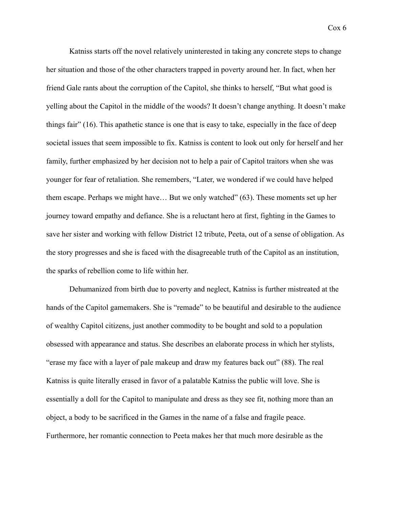Katniss starts off the novel relatively uninterested in taking any concrete steps to change her situation and those of the other characters trapped in poverty around her. In fact, when her friend Gale rants about the corruption of the Capitol, she thinks to herself, "But what good is yelling about the Capitol in the middle of the woods? It doesn't change anything. It doesn't make things fair" (16). This apathetic stance is one that is easy to take, especially in the face of deep societal issues that seem impossible to fix. Katniss is content to look out only for herself and her family, further emphasized by her decision not to help a pair of Capitol traitors when she was younger for fear of retaliation. She remembers, "Later, we wondered if we could have helped them escape. Perhaps we might have… But we only watched" (63). These moments set up her journey toward empathy and defiance. She is a reluctant hero at first, fighting in the Games to save her sister and working with fellow District 12 tribute, Peeta, out of a sense of obligation. As the story progresses and she is faced with the disagreeable truth of the Capitol as an institution, the sparks of rebellion come to life within her.

Dehumanized from birth due to poverty and neglect, Katniss is further mistreated at the hands of the Capitol gamemakers. She is "remade" to be beautiful and desirable to the audience of wealthy Capitol citizens, just another commodity to be bought and sold to a population obsessed with appearance and status. She describes an elaborate process in which her stylists, "erase my face with a layer of pale makeup and draw my features back out" (88). The real Katniss is quite literally erased in favor of a palatable Katniss the public will love. She is essentially a doll for the Capitol to manipulate and dress as they see fit, nothing more than an object, a body to be sacrificed in the Games in the name of a false and fragile peace. Furthermore, her romantic connection to Peeta makes her that much more desirable as the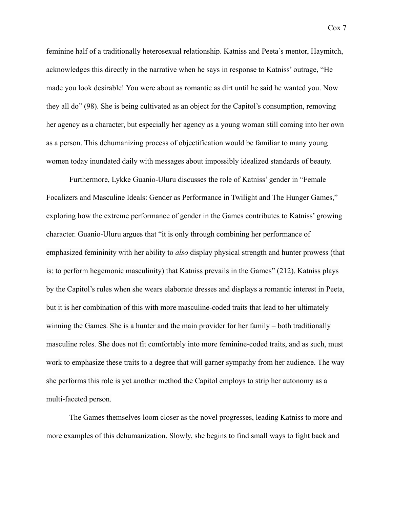feminine half of a traditionally heterosexual relationship. Katniss and Peeta's mentor, Haymitch, acknowledges this directly in the narrative when he says in response to Katniss' outrage, "He made you look desirable! You were about as romantic as dirt until he said he wanted you. Now they all do" (98). She is being cultivated as an object for the Capitol's consumption, removing her agency as a character, but especially her agency as a young woman still coming into her own as a person. This dehumanizing process of objectification would be familiar to many young women today inundated daily with messages about impossibly idealized standards of beauty.

Furthermore, Lykke Guanio-Uluru discusses the role of Katniss' gender in "Female Focalizers and Masculine Ideals: Gender as Performance in Twilight and The Hunger Games," exploring how the extreme performance of gender in the Games contributes to Katniss' growing character. Guanio-Uluru argues that "it is only through combining her performance of emphasized femininity with her ability to *also* display physical strength and hunter prowess (that is: to perform hegemonic masculinity) that Katniss prevails in the Games" (212). Katniss plays by the Capitol's rules when she wears elaborate dresses and displays a romantic interest in Peeta, but it is her combination of this with more masculine-coded traits that lead to her ultimately winning the Games. She is a hunter and the main provider for her family – both traditionally masculine roles. She does not fit comfortably into more feminine-coded traits, and as such, must work to emphasize these traits to a degree that will garner sympathy from her audience. The way she performs this role is yet another method the Capitol employs to strip her autonomy as a multi-faceted person.

The Games themselves loom closer as the novel progresses, leading Katniss to more and more examples of this dehumanization. Slowly, she begins to find small ways to fight back and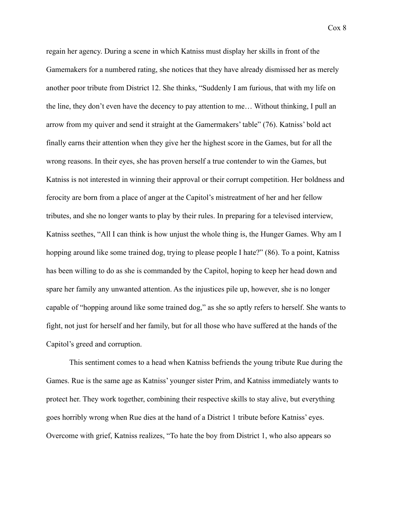regain her agency. During a scene in which Katniss must display her skills in front of the Gamemakers for a numbered rating, she notices that they have already dismissed her as merely another poor tribute from District 12. She thinks, "Suddenly I am furious, that with my life on the line, they don't even have the decency to pay attention to me… Without thinking, I pull an arrow from my quiver and send it straight at the Gamermakers' table" (76). Katniss' bold act finally earns their attention when they give her the highest score in the Games, but for all the wrong reasons. In their eyes, she has proven herself a true contender to win the Games, but Katniss is not interested in winning their approval or their corrupt competition. Her boldness and ferocity are born from a place of anger at the Capitol's mistreatment of her and her fellow tributes, and she no longer wants to play by their rules. In preparing for a televised interview, Katniss seethes, "All I can think is how unjust the whole thing is, the Hunger Games. Why am I hopping around like some trained dog, trying to please people I hate?" (86). To a point, Katniss has been willing to do as she is commanded by the Capitol, hoping to keep her head down and spare her family any unwanted attention. As the injustices pile up, however, she is no longer capable of "hopping around like some trained dog," as she so aptly refers to herself. She wants to fight, not just for herself and her family, but for all those who have suffered at the hands of the Capitol's greed and corruption.

This sentiment comes to a head when Katniss befriends the young tribute Rue during the Games. Rue is the same age as Katniss' younger sister Prim, and Katniss immediately wants to protect her. They work together, combining their respective skills to stay alive, but everything goes horribly wrong when Rue dies at the hand of a District 1 tribute before Katniss' eyes. Overcome with grief, Katniss realizes, "To hate the boy from District 1, who also appears so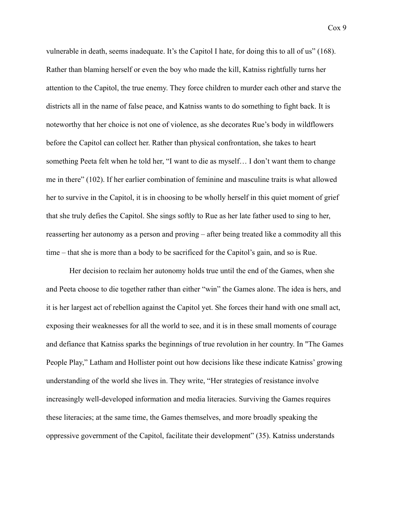vulnerable in death, seems inadequate. It's the Capitol I hate, for doing this to all of us" (168). Rather than blaming herself or even the boy who made the kill, Katniss rightfully turns her attention to the Capitol, the true enemy. They force children to murder each other and starve the districts all in the name of false peace, and Katniss wants to do something to fight back. It is noteworthy that her choice is not one of violence, as she decorates Rue's body in wildflowers before the Capitol can collect her. Rather than physical confrontation, she takes to heart something Peeta felt when he told her, "I want to die as myself… I don't want them to change me in there" (102). If her earlier combination of feminine and masculine traits is what allowed her to survive in the Capitol, it is in choosing to be wholly herself in this quiet moment of grief that she truly defies the Capitol. She sings softly to Rue as her late father used to sing to her, reasserting her autonomy as a person and proving – after being treated like a commodity all this time – that she is more than a body to be sacrificed for the Capitol's gain, and so is Rue.

Her decision to reclaim her autonomy holds true until the end of the Games, when she and Peeta choose to die together rather than either "win" the Games alone. The idea is hers, and it is her largest act of rebellion against the Capitol yet. She forces their hand with one small act, exposing their weaknesses for all the world to see, and it is in these small moments of courage and defiance that Katniss sparks the beginnings of true revolution in her country. In "The Games People Play," Latham and Hollister point out how decisions like these indicate Katniss' growing understanding of the world she lives in. They write, "Her strategies of resistance involve increasingly well-developed information and media literacies. Surviving the Games requires these literacies; at the same time, the Games themselves, and more broadly speaking the oppressive government of the Capitol, facilitate their development" (35). Katniss understands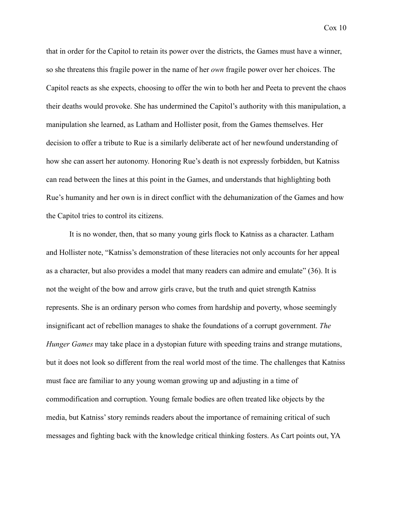that in order for the Capitol to retain its power over the districts, the Games must have a winner, so she threatens this fragile power in the name of her *own* fragile power over her choices. The Capitol reacts as she expects, choosing to offer the win to both her and Peeta to prevent the chaos their deaths would provoke. She has undermined the Capitol's authority with this manipulation, a manipulation she learned, as Latham and Hollister posit, from the Games themselves. Her decision to offer a tribute to Rue is a similarly deliberate act of her newfound understanding of how she can assert her autonomy. Honoring Rue's death is not expressly forbidden, but Katniss can read between the lines at this point in the Games, and understands that highlighting both Rue's humanity and her own is in direct conflict with the dehumanization of the Games and how the Capitol tries to control its citizens.

It is no wonder, then, that so many young girls flock to Katniss as a character. Latham and Hollister note, "Katniss's demonstration of these literacies not only accounts for her appeal as a character, but also provides a model that many readers can admire and emulate" (36). It is not the weight of the bow and arrow girls crave, but the truth and quiet strength Katniss represents. She is an ordinary person who comes from hardship and poverty, whose seemingly insignificant act of rebellion manages to shake the foundations of a corrupt government. *The Hunger Games* may take place in a dystopian future with speeding trains and strange mutations, but it does not look so different from the real world most of the time. The challenges that Katniss must face are familiar to any young woman growing up and adjusting in a time of commodification and corruption. Young female bodies are often treated like objects by the media, but Katniss' story reminds readers about the importance of remaining critical of such messages and fighting back with the knowledge critical thinking fosters. As Cart points out, YA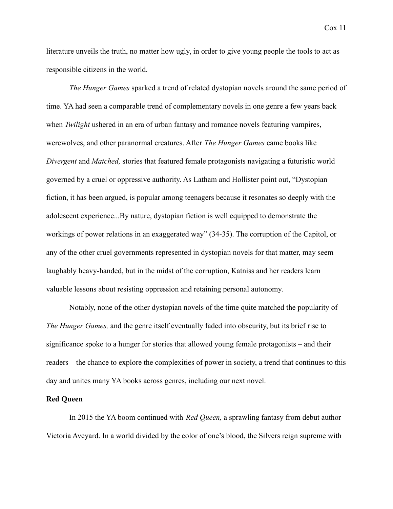literature unveils the truth, no matter how ugly, in order to give young people the tools to act as responsible citizens in the world.

*The Hunger Games* sparked a trend of related dystopian novels around the same period of time. YA had seen a comparable trend of complementary novels in one genre a few years back when *Twilight* ushered in an era of urban fantasy and romance novels featuring vampires, werewolves, and other paranormal creatures. After *The Hunger Games* came books like *Divergent* and *Matched,* stories that featured female protagonists navigating a futuristic world governed by a cruel or oppressive authority. As Latham and Hollister point out, "Dystopian fiction, it has been argued, is popular among teenagers because it resonates so deeply with the adolescent experience...By nature, dystopian fiction is well equipped to demonstrate the workings of power relations in an exaggerated way" (34-35). The corruption of the Capitol, or any of the other cruel governments represented in dystopian novels for that matter, may seem laughably heavy-handed, but in the midst of the corruption, Katniss and her readers learn valuable lessons about resisting oppression and retaining personal autonomy.

Notably, none of the other dystopian novels of the time quite matched the popularity of *The Hunger Games,* and the genre itself eventually faded into obscurity, but its brief rise to significance spoke to a hunger for stories that allowed young female protagonists – and their readers – the chance to explore the complexities of power in society, a trend that continues to this day and unites many YA books across genres, including our next novel.

#### **Red Queen**

In 2015 the YA boom continued with *Red Queen,* a sprawling fantasy from debut author Victoria Aveyard. In a world divided by the color of one's blood, the Silvers reign supreme with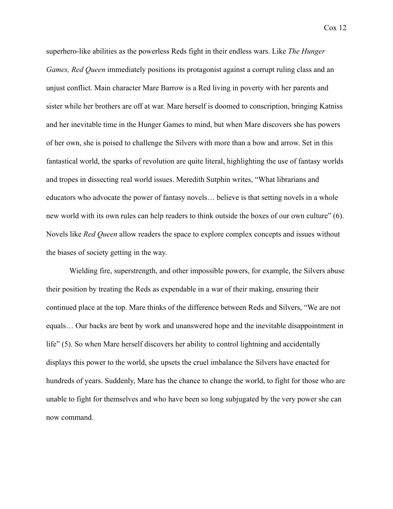superhero-like abilities as the powerless Reds fight in their endless wars. Like *The Hunger Games, Red Queen* immediately positions its protagonist against a corrupt ruling class and an unjust conflict. Main character Mare Barrow is a Red living in poverty with her parents and sister while her brothers are off at war. Mare herself is doomed to conscription, bringing Katniss and her inevitable time in the Hunger Games to mind, but when Mare discovers she has powers of her own, she is poised to challenge the Silvers with more than a bow and arrow. Set in this fantastical world, the sparks of revolution are quite literal, highlighting the use of fantasy worlds and tropes in dissecting real world issues. Meredith Sutphin writes, "What librarians and educators who advocate the power of fantasy novels… believe is that setting novels in a whole new world with its own rules can help readers to think outside the boxes of our own culture" (6). Novels like *Red Queen* allow readers the space to explore complex concepts and issues without the biases of society getting in the way.

Wielding fire, superstrength, and other impossible powers, for example, the Silvers abuse their position by treating the Reds as expendable in a war of their making, ensuring their continued place at the top. Mare thinks of the difference between Reds and Silvers, "We are not equals… Our backs are bent by work and unanswered hope and the inevitable disappointment in life" (5). So when Mare herself discovers her ability to control lightning and accidentally displays this power to the world, she upsets the cruel imbalance the Silvers have enacted for hundreds of years. Suddenly, Mare has the chance to change the world, to fight for those who are unable to fight for themselves and who have been so long subjugated by the very power she can now command.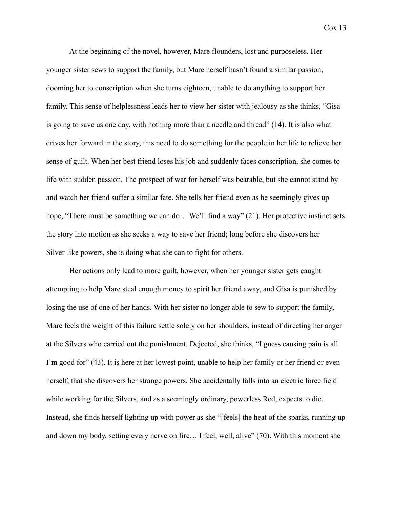At the beginning of the novel, however, Mare flounders, lost and purposeless. Her younger sister sews to support the family, but Mare herself hasn't found a similar passion, dooming her to conscription when she turns eighteen, unable to do anything to support her family. This sense of helplessness leads her to view her sister with jealousy as she thinks, "Gisa is going to save us one day, with nothing more than a needle and thread" (14). It is also what drives her forward in the story, this need to do something for the people in her life to relieve her sense of guilt. When her best friend loses his job and suddenly faces conscription, she comes to life with sudden passion. The prospect of war for herself was bearable, but she cannot stand by and watch her friend suffer a similar fate. She tells her friend even as he seemingly gives up hope, "There must be something we can do... We'll find a way" (21). Her protective instinct sets the story into motion as she seeks a way to save her friend; long before she discovers her Silver-like powers, she is doing what she can to fight for others.

Her actions only lead to more guilt, however, when her younger sister gets caught attempting to help Mare steal enough money to spirit her friend away, and Gisa is punished by losing the use of one of her hands. With her sister no longer able to sew to support the family, Mare feels the weight of this failure settle solely on her shoulders, instead of directing her anger at the Silvers who carried out the punishment. Dejected, she thinks, "I guess causing pain is all I'm good for" (43). It is here at her lowest point, unable to help her family or her friend or even herself, that she discovers her strange powers. She accidentally falls into an electric force field while working for the Silvers, and as a seemingly ordinary, powerless Red, expects to die. Instead, she finds herself lighting up with power as she "[feels] the heat of the sparks, running up and down my body, setting every nerve on fire… I feel, well, alive" (70). With this moment she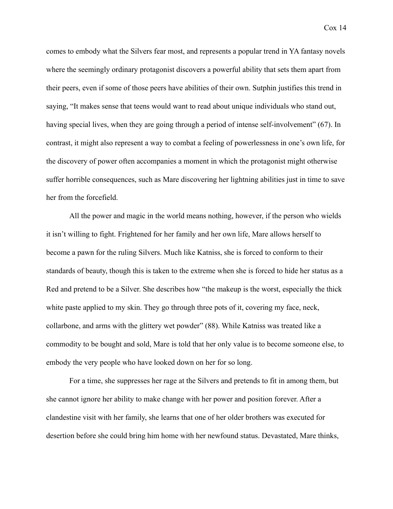comes to embody what the Silvers fear most, and represents a popular trend in YA fantasy novels where the seemingly ordinary protagonist discovers a powerful ability that sets them apart from their peers, even if some of those peers have abilities of their own. Sutphin justifies this trend in saying, "It makes sense that teens would want to read about unique individuals who stand out, having special lives, when they are going through a period of intense self-involvement" (67). In contrast, it might also represent a way to combat a feeling of powerlessness in one's own life, for the discovery of power often accompanies a moment in which the protagonist might otherwise suffer horrible consequences, such as Mare discovering her lightning abilities just in time to save her from the forcefield.

All the power and magic in the world means nothing, however, if the person who wields it isn't willing to fight. Frightened for her family and her own life, Mare allows herself to become a pawn for the ruling Silvers. Much like Katniss, she is forced to conform to their standards of beauty, though this is taken to the extreme when she is forced to hide her status as a Red and pretend to be a Silver. She describes how "the makeup is the worst, especially the thick white paste applied to my skin. They go through three pots of it, covering my face, neck, collarbone, and arms with the glittery wet powder" (88). While Katniss was treated like a commodity to be bought and sold, Mare is told that her only value is to become someone else, to embody the very people who have looked down on her for so long.

For a time, she suppresses her rage at the Silvers and pretends to fit in among them, but she cannot ignore her ability to make change with her power and position forever. After a clandestine visit with her family, she learns that one of her older brothers was executed for desertion before she could bring him home with her newfound status. Devastated, Mare thinks,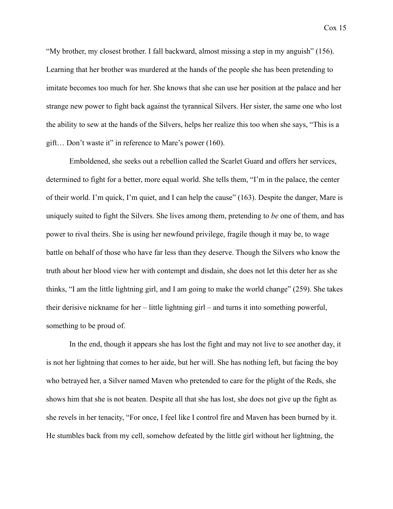"My brother, my closest brother. I fall backward, almost missing a step in my anguish" (156). Learning that her brother was murdered at the hands of the people she has been pretending to imitate becomes too much for her. She knows that she can use her position at the palace and her strange new power to fight back against the tyrannical Silvers. Her sister, the same one who lost the ability to sew at the hands of the Silvers, helps her realize this too when she says, "This is a gift… Don't waste it" in reference to Mare's power (160).

Emboldened, she seeks out a rebellion called the Scarlet Guard and offers her services, determined to fight for a better, more equal world. She tells them, "I'm in the palace, the center of their world. I'm quick, I'm quiet, and I can help the cause" (163). Despite the danger, Mare is uniquely suited to fight the Silvers. She lives among them, pretending to *be* one of them, and has power to rival theirs. She is using her newfound privilege, fragile though it may be, to wage battle on behalf of those who have far less than they deserve. Though the Silvers who know the truth about her blood view her with contempt and disdain, she does not let this deter her as she thinks, "I am the little lightning girl, and I am going to make the world change" (259). She takes their derisive nickname for her – little lightning girl – and turns it into something powerful, something to be proud of.

In the end, though it appears she has lost the fight and may not live to see another day, it is not her lightning that comes to her aide, but her will. She has nothing left, but facing the boy who betrayed her, a Silver named Maven who pretended to care for the plight of the Reds, she shows him that she is not beaten. Despite all that she has lost, she does not give up the fight as she revels in her tenacity, "For once, I feel like I control fire and Maven has been burned by it. He stumbles back from my cell, somehow defeated by the little girl without her lightning, the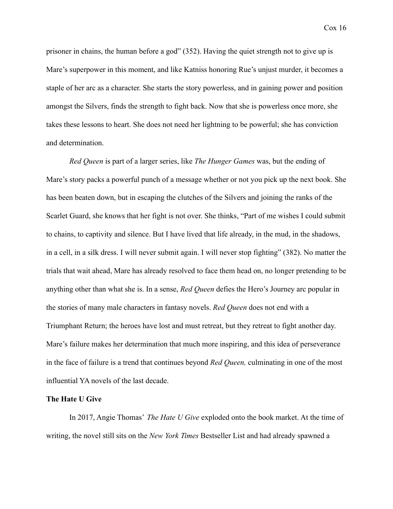Cox 16

prisoner in chains, the human before a god" (352). Having the quiet strength not to give up is Mare's superpower in this moment, and like Katniss honoring Rue's unjust murder, it becomes a staple of her arc as a character. She starts the story powerless, and in gaining power and position amongst the Silvers, finds the strength to fight back. Now that she is powerless once more, she takes these lessons to heart. She does not need her lightning to be powerful; she has conviction and determination.

*Red Queen* is part of a larger series, like *The Hunger Games* was, but the ending of Mare's story packs a powerful punch of a message whether or not you pick up the next book. She has been beaten down, but in escaping the clutches of the Silvers and joining the ranks of the Scarlet Guard, she knows that her fight is not over. She thinks, "Part of me wishes I could submit to chains, to captivity and silence. But I have lived that life already, in the mud, in the shadows, in a cell, in a silk dress. I will never submit again. I will never stop fighting" (382). No matter the trials that wait ahead, Mare has already resolved to face them head on, no longer pretending to be anything other than what she is. In a sense, *Red Queen* defies the Hero's Journey arc popular in the stories of many male characters in fantasy novels. *Red Queen* does not end with a Triumphant Return; the heroes have lost and must retreat, but they retreat to fight another day. Mare's failure makes her determination that much more inspiring, and this idea of perseverance in the face of failure is a trend that continues beyond *Red Queen,* culminating in one of the most influential YA novels of the last decade.

#### **The Hate U Give**

In 2017, Angie Thomas' *The Hate U Give* exploded onto the book market. At the time of writing, the novel still sits on the *New York Times* Bestseller List and had already spawned a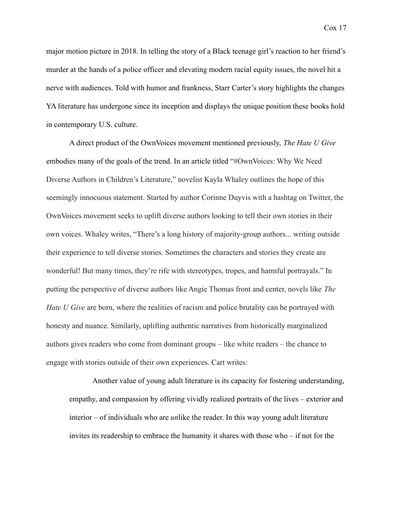major motion picture in 2018. In telling the story of a Black teenage girl's reaction to her friend's murder at the hands of a police officer and elevating modern racial equity issues, the novel hit a nerve with audiences. Told with humor and frankness, Starr Carter's story highlights the changes YA literature has undergone since its inception and displays the unique position these books hold in contemporary U.S. culture.

A direct product of the OwnVoices movement mentioned previously, *The Hate U Give* embodies many of the goals of the trend. In an article titled "#OwnVoices: Why We Need Diverse Authors in Children's Literature," novelist Kayla Whaley outlines the hope of this seemingly innocuous statement. Started by author Corinne Duyvis with a hashtag on Twitter, the OwnVoices movement seeks to uplift diverse authors looking to tell their own stories in their own voices. Whaley writes, "There's a long history of majority-group authors... writing outside their experience to tell diverse stories. Sometimes the characters and stories they create are wonderful! But many times, they're rife with stereotypes, tropes, and harmful portravals." In putting the perspective of diverse authors like Angie Thomas front and center, novels like *The Hate U Give* are born, where the realities of racism and police brutality can be portrayed with honesty and nuance. Similarly, uplifting authentic narratives from historically marginalized authors gives readers who come from dominant groups – like white readers – the chance to engage with stories outside of their own experiences. Cart writes:

Another value of young adult literature is its capacity for fostering understanding, empathy, and compassion by offering vividly realized portraits of the lives – exterior and interior – of individuals who are *un*like the reader. In this way young adult literature invites its readership to embrace the humanity it shares with those who – if not for the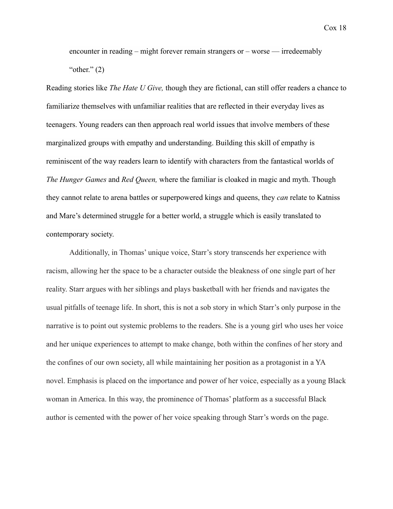encounter in reading – might forever remain strangers or – worse — irredeemably " $other." (2)$ 

Reading stories like *The Hate U Give,* though they are fictional, can still offer readers a chance to familiarize themselves with unfamiliar realities that are reflected in their everyday lives as teenagers. Young readers can then approach real world issues that involve members of these marginalized groups with empathy and understanding. Building this skill of empathy is reminiscent of the way readers learn to identify with characters from the fantastical worlds of *The Hunger Games* and *Red Queen,* where the familiar is cloaked in magic and myth. Though they cannot relate to arena battles or superpowered kings and queens, they *can* relate to Katniss and Mare's determined struggle for a better world, a struggle which is easily translated to contemporary society.

Additionally, in Thomas' unique voice, Starr's story transcends her experience with racism, allowing her the space to be a character outside the bleakness of one single part of her reality. Starr argues with her siblings and plays basketball with her friends and navigates the usual pitfalls of teenage life. In short, this is not a sob story in which Starr's only purpose in the narrative is to point out systemic problems to the readers. She is a young girl who uses her voice and her unique experiences to attempt to make change, both within the confines of her story and the confines of our own society, all while maintaining her position as a protagonist in a YA novel. Emphasis is placed on the importance and power of her voice, especially as a young Black woman in America. In this way, the prominence of Thomas' platform as a successful Black author is cemented with the power of her voice speaking through Starr's words on the page.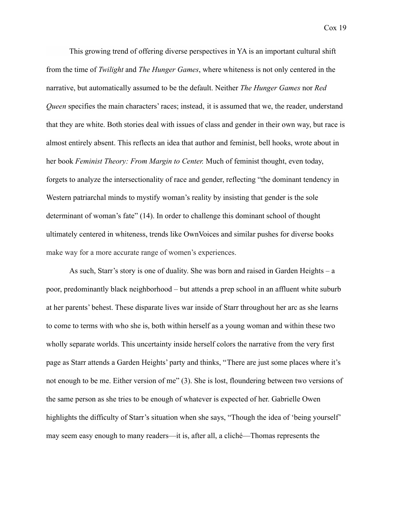This growing trend of offering diverse perspectives in YA is an important cultural shift from the time of *Twilight* and *The Hunger Games*, where whiteness is not only centered in the narrative, but automatically assumed to be the default. Neither *The Hunger Games* nor *Red Queen* specifies the main characters' races; instead, it is assumed that we, the reader, understand that they are white. Both stories deal with issues of class and gender in their own way, but race is almost entirely absent. This reflects an idea that author and feminist, bell hooks, wrote about in her book *Feminist Theory: From Margin to Center.* Much of feminist thought, even today, forgets to analyze the intersectionality of race and gender, reflecting "the dominant tendency in Western patriarchal minds to mystify woman's reality by insisting that gender is the sole determinant of woman's fate" (14). In order to challenge this dominant school of thought ultimately centered in whiteness, trends like OwnVoices and similar pushes for diverse books make way for a more accurate range of women's experiences.

As such, Starr's story is one of duality. She was born and raised in Garden Heights – a poor, predominantly black neighborhood – but attends a prep school in an affluent white suburb at her parents' behest. These disparate lives war inside of Starr throughout her arc as she learns to come to terms with who she is, both within herself as a young woman and within these two wholly separate worlds. This uncertainty inside herself colors the narrative from the very first page as Starr attends a Garden Heights' party and thinks, "There are just some places where it's not enough to be me. Either version of me" (3). She is lost, floundering between two versions of the same person as she tries to be enough of whatever is expected of her. Gabrielle Owen highlights the difficulty of Starr's situation when she says, "Though the idea of 'being yourself' may seem easy enough to many readers—it is, after all, a cliché—Thomas represents the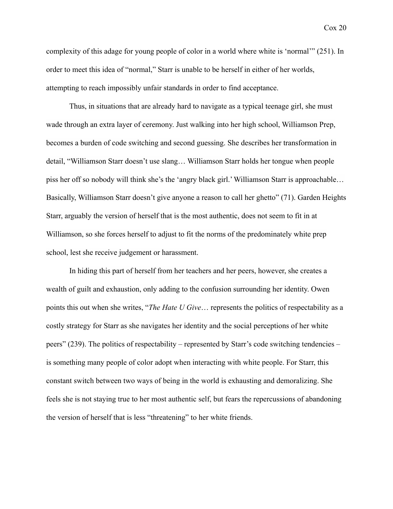complexity of this adage for young people of color in a world where white is 'normal'" (251). In order to meet this idea of "normal," Starr is unable to be herself in either of her worlds, attempting to reach impossibly unfair standards in order to find acceptance.

Thus, in situations that are already hard to navigate as a typical teenage girl, she must wade through an extra layer of ceremony. Just walking into her high school, Williamson Prep, becomes a burden of code switching and second guessing. She describes her transformation in detail, "Williamson Starr doesn't use slang… Williamson Starr holds her tongue when people piss her off so nobody will think she's the 'angry black girl.' Williamson Starr is approachable… Basically, Williamson Starr doesn't give anyone a reason to call her ghetto" (71). Garden Heights Starr, arguably the version of herself that is the most authentic, does not seem to fit in at Williamson, so she forces herself to adjust to fit the norms of the predominately white prep school, lest she receive judgement or harassment.

In hiding this part of herself from her teachers and her peers, however, she creates a wealth of guilt and exhaustion, only adding to the confusion surrounding her identity. Owen points this out when she writes, "*The Hate U Give*… represents the politics of respectability as a costly strategy for Starr as she navigates her identity and the social perceptions of her white peers" (239). The politics of respectability – represented by Starr's code switching tendencies – is something many people of color adopt when interacting with white people. For Starr, this constant switch between two ways of being in the world is exhausting and demoralizing. She feels she is not staying true to her most authentic self, but fears the repercussions of abandoning the version of herself that is less "threatening" to her white friends.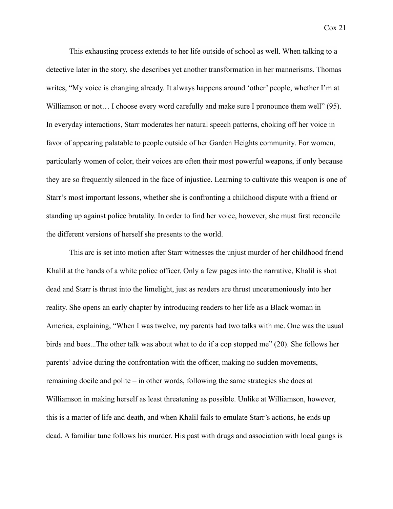This exhausting process extends to her life outside of school as well. When talking to a detective later in the story, she describes yet another transformation in her mannerisms. Thomas writes, "My voice is changing already. It always happens around 'other' people, whether I'm at Williamson or not... I choose every word carefully and make sure I pronounce them well" (95). In everyday interactions, Starr moderates her natural speech patterns, choking off her voice in favor of appearing palatable to people outside of her Garden Heights community. For women, particularly women of color, their voices are often their most powerful weapons, if only because they are so frequently silenced in the face of injustice. Learning to cultivate this weapon is one of Starr's most important lessons, whether she is confronting a childhood dispute with a friend or standing up against police brutality. In order to find her voice, however, she must first reconcile the different versions of herself she presents to the world.

This arc is set into motion after Starr witnesses the unjust murder of her childhood friend Khalil at the hands of a white police officer. Only a few pages into the narrative, Khalil is shot dead and Starr is thrust into the limelight, just as readers are thrust unceremoniously into her reality. She opens an early chapter by introducing readers to her life as a Black woman in America, explaining, "When I was twelve, my parents had two talks with me. One was the usual birds and bees...The other talk was about what to do if a cop stopped me" (20). She follows her parents' advice during the confrontation with the officer, making no sudden movements, remaining docile and polite – in other words, following the same strategies she does at Williamson in making herself as least threatening as possible. Unlike at Williamson, however, this is a matter of life and death, and when Khalil fails to emulate Starr's actions, he ends up dead. A familiar tune follows his murder. His past with drugs and association with local gangs is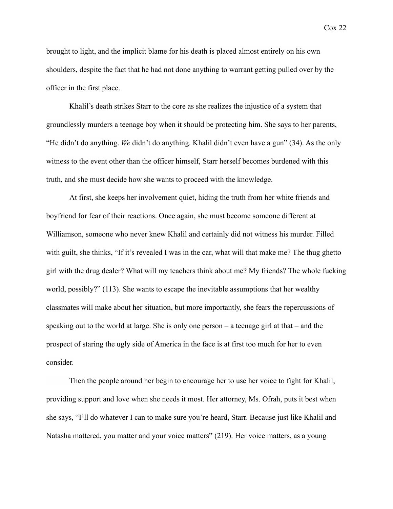brought to light, and the implicit blame for his death is placed almost entirely on his own shoulders, despite the fact that he had not done anything to warrant getting pulled over by the officer in the first place.

Khalil's death strikes Starr to the core as she realizes the injustice of a system that groundlessly murders a teenage boy when it should be protecting him. She says to her parents, "He didn't do anything. *We* didn't do anything. Khalil didn't even have a gun" (34). As the only witness to the event other than the officer himself, Starr herself becomes burdened with this truth, and she must decide how she wants to proceed with the knowledge.

At first, she keeps her involvement quiet, hiding the truth from her white friends and boyfriend for fear of their reactions. Once again, she must become someone different at Williamson, someone who never knew Khalil and certainly did not witness his murder. Filled with guilt, she thinks, "If it's revealed I was in the car, what will that make me? The thug ghetto girl with the drug dealer? What will my teachers think about me? My friends? The whole fucking world, possibly?" (113). She wants to escape the inevitable assumptions that her wealthy classmates will make about her situation, but more importantly, she fears the repercussions of speaking out to the world at large. She is only one person – a teenage girl at that – and the prospect of staring the ugly side of America in the face is at first too much for her to even consider.

Then the people around her begin to encourage her to use her voice to fight for Khalil, providing support and love when she needs it most. Her attorney, Ms. Ofrah, puts it best when she says, "I'll do whatever I can to make sure you're heard, Starr. Because just like Khalil and Natasha mattered, you matter and your voice matters" (219). Her voice matters, as a young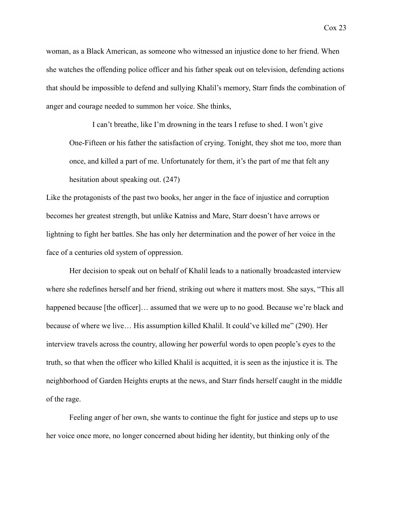Cox 23

woman, as a Black American, as someone who witnessed an injustice done to her friend. When she watches the offending police officer and his father speak out on television, defending actions that should be impossible to defend and sullying Khalil's memory, Starr finds the combination of anger and courage needed to summon her voice. She thinks,

I can't breathe, like I'm drowning in the tears I refuse to shed. I won't give One-Fifteen or his father the satisfaction of crying. Tonight, they shot me too, more than once, and killed a part of me. Unfortunately for them, it's the part of me that felt any hesitation about speaking out. (247)

Like the protagonists of the past two books, her anger in the face of injustice and corruption becomes her greatest strength, but unlike Katniss and Mare, Starr doesn't have arrows or lightning to fight her battles. She has only her determination and the power of her voice in the face of a centuries old system of oppression.

Her decision to speak out on behalf of Khalil leads to a nationally broadcasted interview where she redefines herself and her friend, striking out where it matters most. She says, "This all happened because [the officer]... assumed that we were up to no good. Because we're black and because of where we live… His assumption killed Khalil. It could've killed me" (290). Her interview travels across the country, allowing her powerful words to open people's eyes to the truth, so that when the officer who killed Khalil is acquitted, it is seen as the injustice it is. The neighborhood of Garden Heights erupts at the news, and Starr finds herself caught in the middle of the rage.

Feeling anger of her own, she wants to continue the fight for justice and steps up to use her voice once more, no longer concerned about hiding her identity, but thinking only of the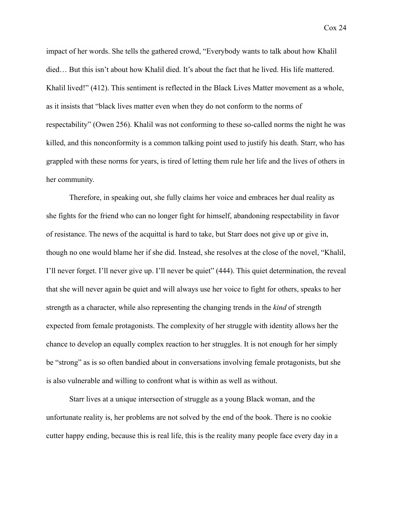impact of her words. She tells the gathered crowd, "Everybody wants to talk about how Khalil died… But this isn't about how Khalil died. It's about the fact that he lived. His life mattered. Khalil lived!" (412). This sentiment is reflected in the Black Lives Matter movement as a whole, as it insists that "black lives matter even when they do not conform to the norms of respectability" (Owen 256). Khalil was not conforming to these so-called norms the night he was killed, and this nonconformity is a common talking point used to justify his death. Starr, who has grappled with these norms for years, is tired of letting them rule her life and the lives of others in her community.

Therefore, in speaking out, she fully claims her voice and embraces her dual reality as she fights for the friend who can no longer fight for himself, abandoning respectability in favor of resistance. The news of the acquittal is hard to take, but Starr does not give up or give in, though no one would blame her if she did. Instead, she resolves at the close of the novel, "Khalil, I'll never forget. I'll never give up. I'll never be quiet" (444). This quiet determination, the reveal that she will never again be quiet and will always use her voice to fight for others, speaks to her strength as a character, while also representing the changing trends in the *kind* of strength expected from female protagonists. The complexity of her struggle with identity allows her the chance to develop an equally complex reaction to her struggles. It is not enough for her simply be "strong" as is so often bandied about in conversations involving female protagonists, but she is also vulnerable and willing to confront what is within as well as without.

Starr lives at a unique intersection of struggle as a young Black woman, and the unfortunate reality is, her problems are not solved by the end of the book. There is no cookie cutter happy ending, because this is real life, this is the reality many people face every day in a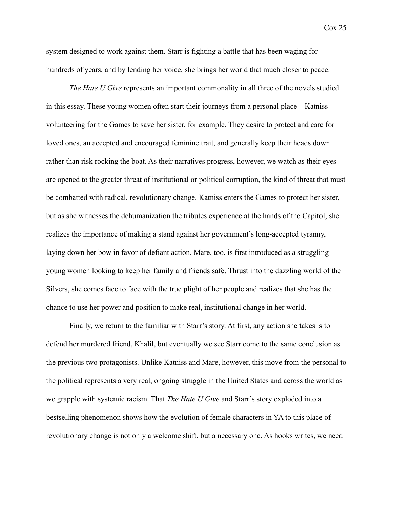system designed to work against them. Starr is fighting a battle that has been waging for hundreds of years, and by lending her voice, she brings her world that much closer to peace.

*The Hate U Give* represents an important commonality in all three of the novels studied in this essay. These young women often start their journeys from a personal place – Katniss volunteering for the Games to save her sister, for example. They desire to protect and care for loved ones, an accepted and encouraged feminine trait, and generally keep their heads down rather than risk rocking the boat. As their narratives progress, however, we watch as their eyes are opened to the greater threat of institutional or political corruption, the kind of threat that must be combatted with radical, revolutionary change. Katniss enters the Games to protect her sister, but as she witnesses the dehumanization the tributes experience at the hands of the Capitol, she realizes the importance of making a stand against her government's long-accepted tyranny, laying down her bow in favor of defiant action. Mare, too, is first introduced as a struggling young women looking to keep her family and friends safe. Thrust into the dazzling world of the Silvers, she comes face to face with the true plight of her people and realizes that she has the chance to use her power and position to make real, institutional change in her world.

Finally, we return to the familiar with Starr's story. At first, any action she takes is to defend her murdered friend, Khalil, but eventually we see Starr come to the same conclusion as the previous two protagonists. Unlike Katniss and Mare, however, this move from the personal to the political represents a very real, ongoing struggle in the United States and across the world as we grapple with systemic racism. That *The Hate U Give* and Starr's story exploded into a bestselling phenomenon shows how the evolution of female characters in YA to this place of revolutionary change is not only a welcome shift, but a necessary one. As hooks writes, we need

Cox 25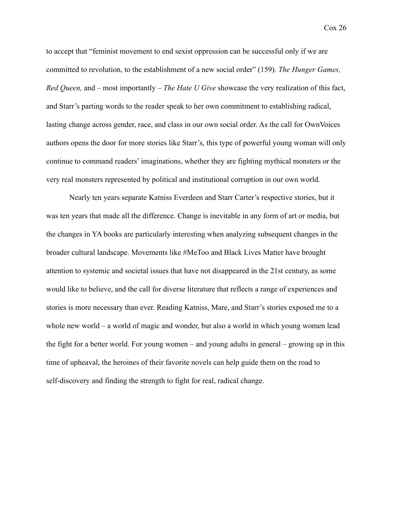Cox 26

to accept that "feminist movement to end sexist oppression can be successful only if we are committed to revolution, to the establishment of a new social order" (159). *The Hunger Games, Red Queen,* and – most importantly – *The Hate U Give* showcase the very realization of this fact, and Starr's parting words to the reader speak to her own commitment to establishing radical, lasting change across gender, race, and class in our own social order. As the call for OwnVoices authors opens the door for more stories like Starr's, this type of powerful young woman will only continue to command readers' imaginations, whether they are fighting mythical monsters or the very real monsters represented by political and institutional corruption in our own world.

Nearly ten years separate Katniss Everdeen and Starr Carter's respective stories, but it was ten years that made all the difference. Change is inevitable in any form of art or media, but the changes in YA books are particularly interesting when analyzing subsequent changes in the broader cultural landscape. Movements like #MeToo and Black Lives Matter have brought attention to systemic and societal issues that have not disappeared in the 21st century, as some would like to believe, and the call for diverse literature that reflects a range of experiences and stories is more necessary than ever. Reading Katniss, Mare, and Starr's stories exposed me to a whole new world – a world of magic and wonder, but also a world in which young women lead the fight for a better world. For young women – and young adults in general – growing up in this time of upheaval, the heroines of their favorite novels can help guide them on the road to self-discovery and finding the strength to fight for real, radical change.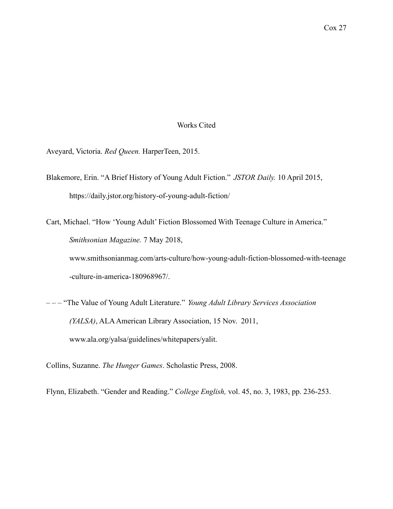### Works Cited

Aveyard, Victoria. *Red Queen.* HarperTeen, 2015.

- Blakemore, Erin. "A Brief History of Young Adult Fiction." *JSTOR Daily.* 10 April 2015, https://daily.jstor.org/history-of-young-adult-fiction/
- Cart, Michael. "How 'Young Adult' Fiction Blossomed With Teenage Culture in America." *Smithsonian Magazine.* 7 May 2018, www.smithsonianmag.com/arts-culture/how-young-adult-fiction-blossomed-with-teenage -culture-in-america-180968967/.
- – "The Value of Young Adult Literature." *Young Adult Library Services Association (YALSA)*, ALA American Library Association, 15 Nov. 2011, www.ala.org/yalsa/guidelines/whitepapers/yalit.

Collins, Suzanne. *The Hunger Games*. Scholastic Press, 2008.

Flynn, Elizabeth. "Gender and Reading." *College English,* vol. 45, no. 3, 1983, pp. 236-253.